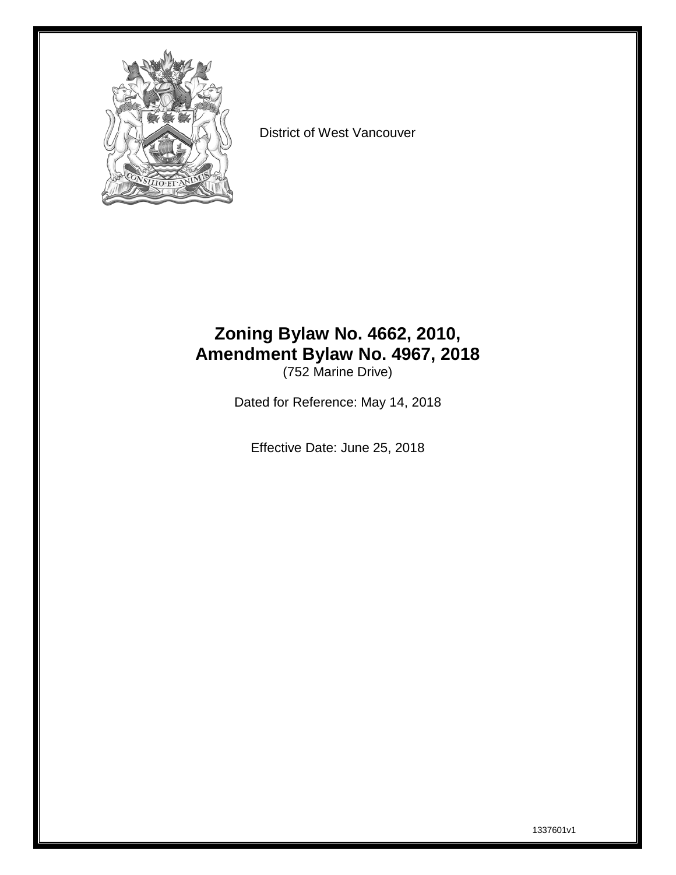

District of West Vancouver

#### **Zoning Bylaw No. 4662, 2010, Amendment Bylaw No. 4967, 2018** (752 Marine Drive)

Dated for Reference: May 14, 2018

Effective Date: June 25, 2018

1337601v1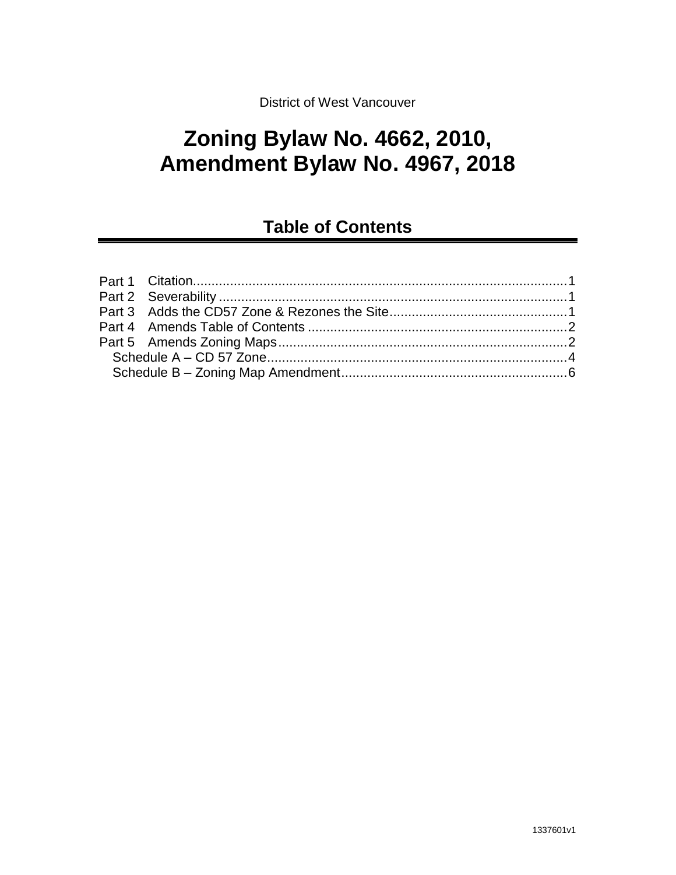#### District of West Vancouver

# **Zoning Bylaw No. 4662, 2010, Amendment Bylaw No. 4967, 2018**

# **Table of Contents**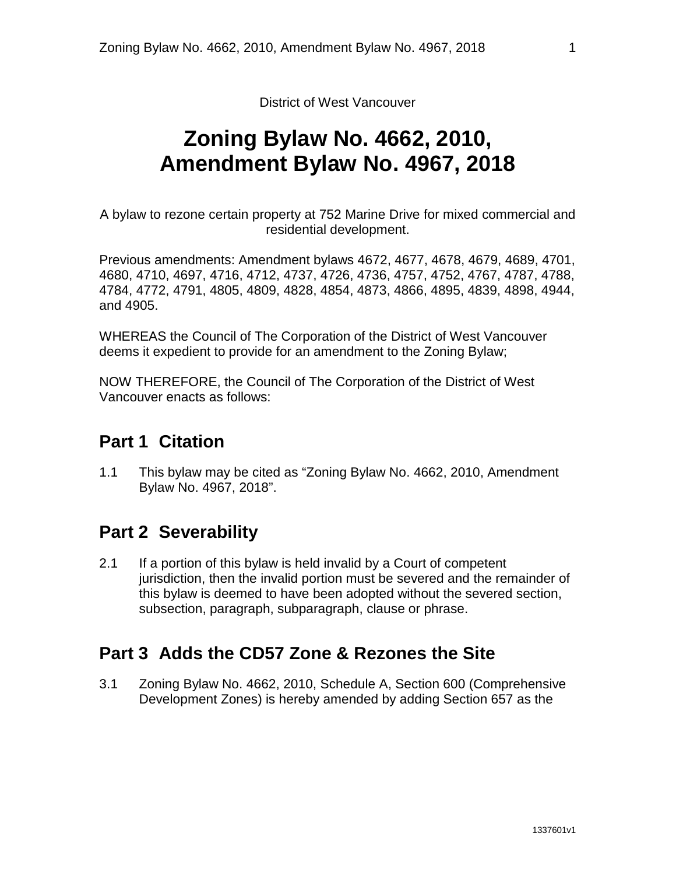District of West Vancouver

# **Zoning Bylaw No. 4662, 2010, Amendment Bylaw No. 4967, 2018**

A bylaw to rezone certain property at 752 Marine Drive for mixed commercial and residential development.

Previous amendments: Amendment bylaws 4672, 4677, 4678, 4679, 4689, 4701, 4680, 4710, 4697, 4716, 4712, 4737, 4726, 4736, 4757, 4752, 4767, 4787, 4788, 4784, 4772, 4791, 4805, 4809, 4828, 4854, 4873, 4866, 4895, 4839, 4898, 4944, and 4905.

WHEREAS the Council of The Corporation of the District of West Vancouver deems it expedient to provide for an amendment to the Zoning Bylaw;

<span id="page-2-0"></span>NOW THEREFORE, the Council of The Corporation of the District of West Vancouver enacts as follows:

#### **Part 1 Citation**

1.1 This bylaw may be cited as "Zoning Bylaw No. 4662, 2010, Amendment Bylaw No. 4967, 2018".

#### <span id="page-2-1"></span>**Part 2 Severability**

2.1 If a portion of this bylaw is held invalid by a Court of competent jurisdiction, then the invalid portion must be severed and the remainder of this bylaw is deemed to have been adopted without the severed section, subsection, paragraph, subparagraph, clause or phrase.

#### <span id="page-2-2"></span>**Part 3 Adds the CD57 Zone & Rezones the Site**

3.1 Zoning Bylaw No. 4662, 2010, Schedule A, Section 600 (Comprehensive Development Zones) is hereby amended by adding Section 657 as the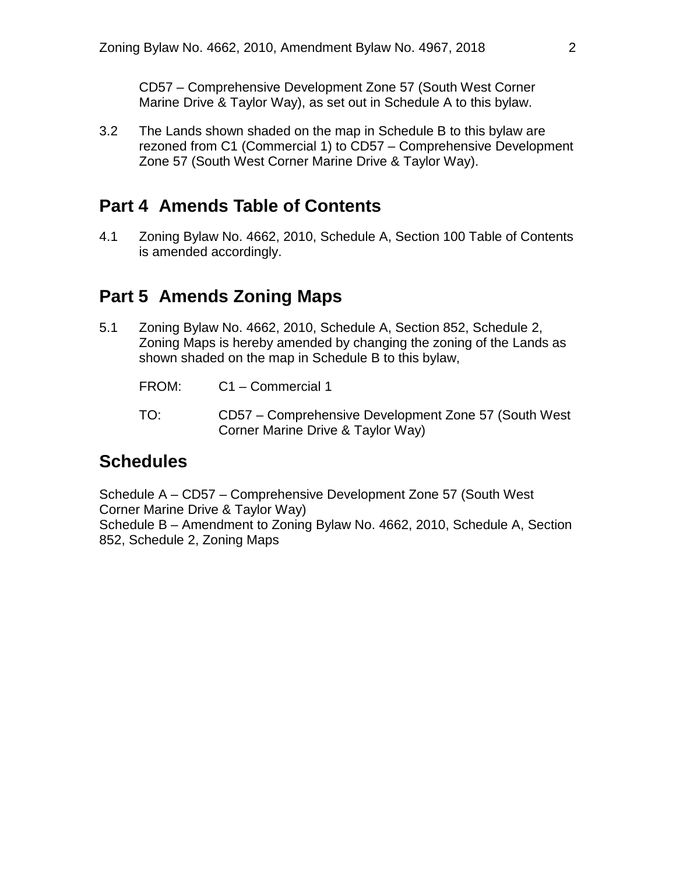CD57 – Comprehensive Development Zone 57 (South West Corner Marine Drive & Taylor Way), as set out in Schedule A to this bylaw.

3.2 The Lands shown shaded on the map in Schedule B to this bylaw are rezoned from C1 (Commercial 1) to CD57 – Comprehensive Development Zone 57 (South West Corner Marine Drive & Taylor Way).

#### <span id="page-3-0"></span>**Part 4 Amends Table of Contents**

4.1 Zoning Bylaw No. 4662, 2010, Schedule A, Section 100 Table of Contents is amended accordingly.

#### <span id="page-3-1"></span>**Part 5 Amends Zoning Maps**

- 5.1 Zoning Bylaw No. 4662, 2010, Schedule A, Section 852, Schedule 2, Zoning Maps is hereby amended by changing the zoning of the Lands as shown shaded on the map in Schedule B to this bylaw,
	- FROM: C1 Commercial 1
	- TO: CD57 Comprehensive Development Zone 57 (South West Corner Marine Drive & Taylor Way)

### **Schedules**

Schedule A – CD57 – Comprehensive Development Zone 57 (South West Corner Marine Drive & Taylor Way) Schedule B – Amendment to Zoning Bylaw No. 4662, 2010, Schedule A, Section 852, Schedule 2, Zoning Maps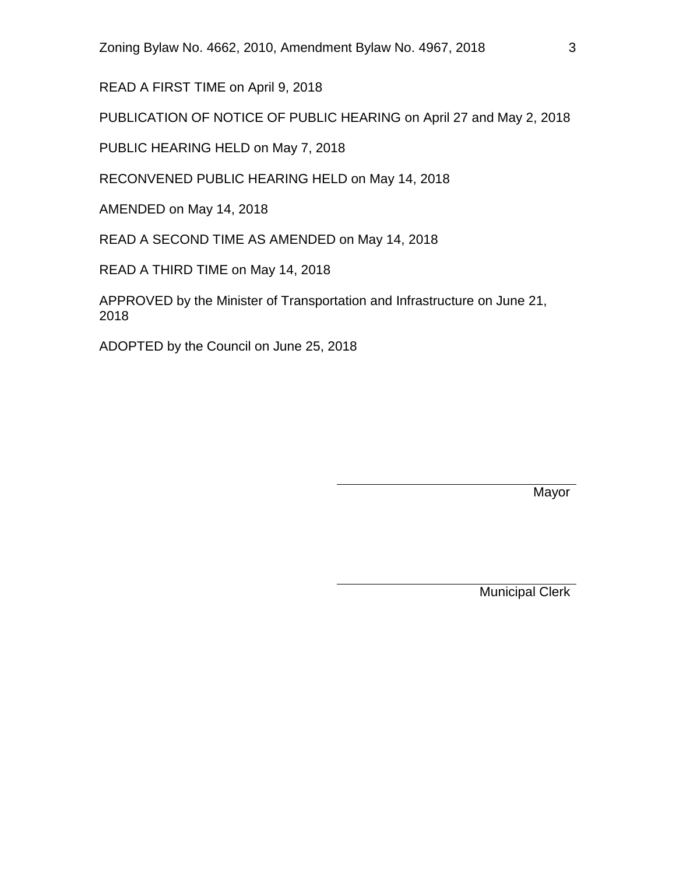READ A FIRST TIME on April 9, 2018

PUBLICATION OF NOTICE OF PUBLIC HEARING on April 27 and May 2, 2018

PUBLIC HEARING HELD on May 7, 2018

RECONVENED PUBLIC HEARING HELD on May 14, 2018

AMENDED on May 14, 2018

READ A SECOND TIME AS AMENDED on May 14, 2018

READ A THIRD TIME on May 14, 2018

APPROVED by the Minister of Transportation and Infrastructure on June 21, 2018

ADOPTED by the Council on June 25, 2018

Mayor

Municipal Clerk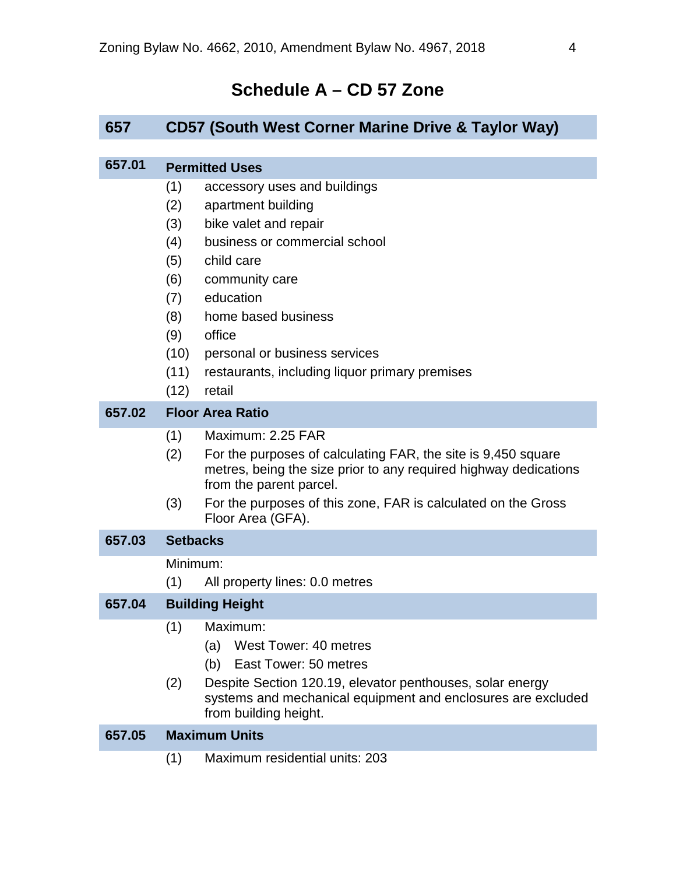### **Schedule A – CD 57 Zone**

#### <span id="page-5-0"></span>**657 CD57 (South West Corner Marine Drive & Taylor Way)**

#### **657.01 Permitted Uses** (1) accessory uses and buildings (2) apartment building (3) bike valet and repair (4) business or commercial school (5) child care (6) community care (7) education (8) home based business (9) office (10) personal or business services (11) restaurants, including liquor primary premises (12) retail **657.02 Floor Area Ratio** (1) Maximum: 2.25 FAR (2) For the purposes of calculating FAR, the site is 9,450 square metres, being the size prior to any required highway dedications from the parent parcel. (3) For the purposes of this zone, FAR is calculated on the Gross Floor Area (GFA). **657.03 Setbacks** Minimum: (1) All property lines: 0.0 metres **657.04 Building Height** (1) Maximum: (a) West Tower: 40 metres (b) East Tower: 50 metres (2) Despite Section 120.19, elevator penthouses, solar energy systems and mechanical equipment and enclosures are excluded from building height. **657.05 Maximum Units** (1) Maximum residential units: 203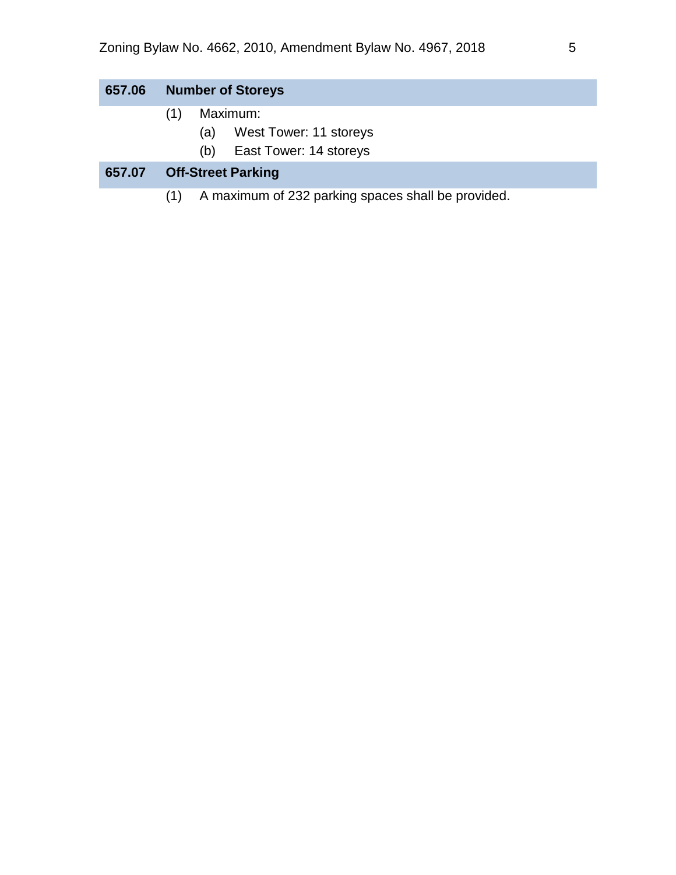| 657.06 | <b>Number of Storeys</b>                                  |
|--------|-----------------------------------------------------------|
|        | Maximum:                                                  |
|        | West Tower: 11 storeys<br>(a)                             |
|        | East Tower: 14 storeys<br>(b)                             |
| 657.07 | <b>Off-Street Parking</b>                                 |
|        | A maximum of 232 parking spaces shall be provided.<br>(1) |